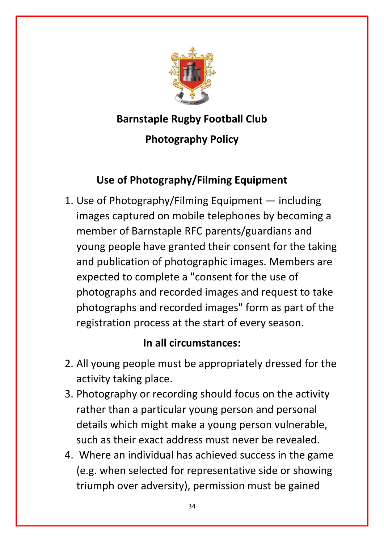

## **Barnstaple Rugby Football Club**

## **Photography Policy**

## **Use of Photography/Filming Equipment**

1. Use of Photography/Filming Equipment — including images captured on mobile telephones by becoming a member of Barnstaple RFC parents/guardians and young people have granted their consent for the taking and publication of photographic images. Members are expected to complete a "consent for the use of photographs and recorded images and request to take photographs and recorded images" form as part of the registration process at the start of every season.

## **In all circumstances:**

- 2. All young people must be appropriately dressed for the activity taking place.
- 3. Photography or recording should focus on the activity rather than a particular young person and personal details which might make a young person vulnerable, such as their exact address must never be revealed.
- 4. Where an individual has achieved success in the game (e.g. when selected for representative side or showing triumph over adversity), permission must be gained